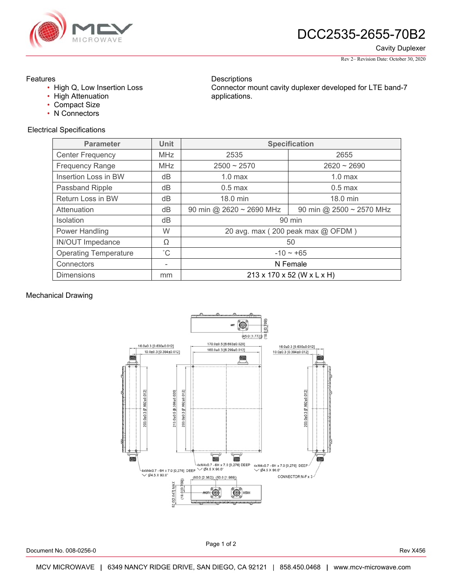

Cavity Duplexer

Rev 2– Revision Date: October 30, 2020

### Features

- High Q, Low Insertion Loss
- High Attenuation
- Compact Size
- N Connectors

## Electrical Specifications

**Descriptions** Connector mount cavity duplexer developed for LTE band-7 applications.

| <b>Parameter</b>             | <b>Unit</b>  | <b>Specification</b>              |                          |
|------------------------------|--------------|-----------------------------------|--------------------------|
| Center Frequency             | <b>MHz</b>   | 2535                              | 2655                     |
| <b>Frequency Range</b>       | <b>MHz</b>   | $2500 - 2570$                     | $2620 \sim 2690$         |
| Insertion Loss in BW         | dB           | $1.0$ max                         | $1.0$ max                |
| Passband Ripple              | dB           | $0.5$ max                         | $0.5$ max                |
| Return Loss in BW            | dB           | 18.0 min                          | 18.0 min                 |
| Attenuation                  | dB           | 90 min @ 2620 ~ 2690 MHz          | 90 min @ 2500 ~ 2570 MHz |
| <b>Isolation</b>             | dB           | 90 min                            |                          |
| Power Handling               | W            | 20 avg. max (200 peak max @ OFDM) |                          |
| IN/OUT Impedance             | Ω            | 50                                |                          |
| <b>Operating Temperature</b> | $^{\circ}$ C | $-10 \sim +65$                    |                          |
| Connectors                   | -            | N Female                          |                          |
| <b>Dimensions</b>            | mm           | 213 x 170 x 52 (W x L x H)        |                          |

#### Mechanical Drawing



Document No. 008-0256-0 Rev X456

Page 1 of 2